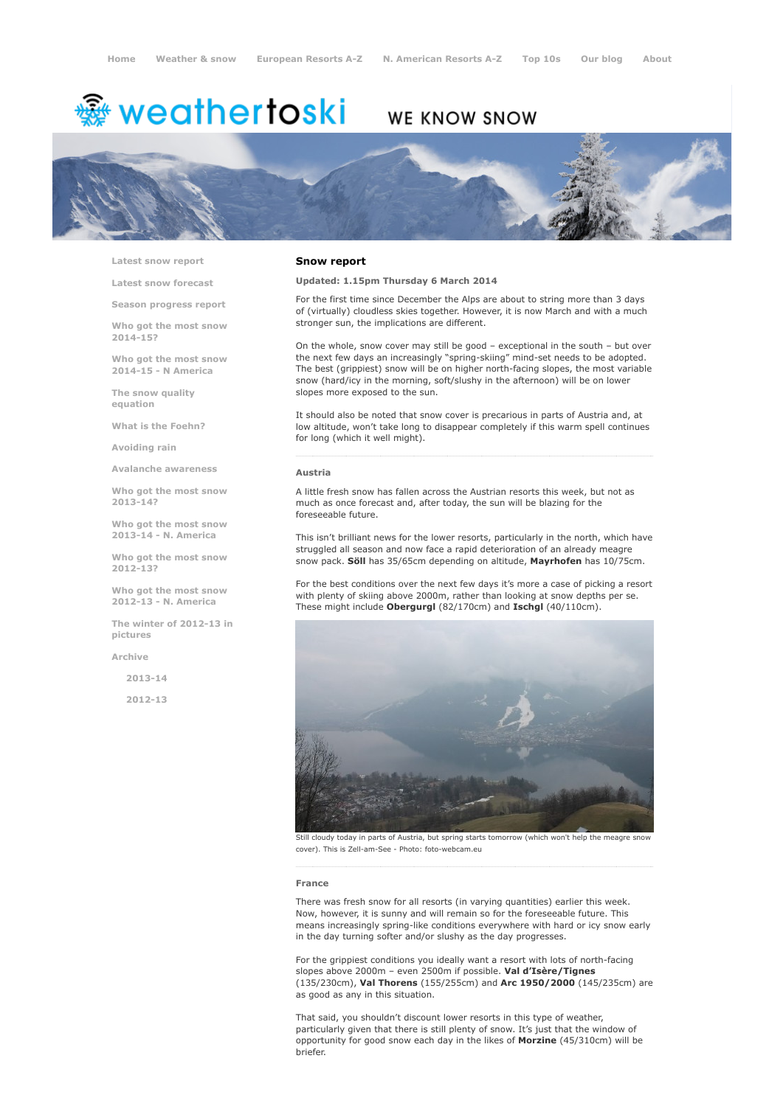# <del>鑾</del> weathertoski

# WE KNOW SNOW



Latest snow [report](http://www.weathertoski.co.uk/weather-snow/latest-snow-report/)

Latest snow [forecast](http://www.weathertoski.co.uk/weather-snow/latest-snow-forecast/)

Season [progress](http://www.weathertoski.co.uk/weather-snow/season-progress-report/) report

Who got the most snow 2014-15?

Who got the most snow 2014-15 - N America

The snow quality [equation](http://www.weathertoski.co.uk/weather-snow/the-snow-quality-equation/)

What is the [Foehn?](http://www.weathertoski.co.uk/weather-snow/what-is-the-foehn/)

[Avoiding](http://www.weathertoski.co.uk/weather-snow/avoiding-rain/) rain

Avalanche [awareness](http://www.weathertoski.co.uk/weather-snow/avalanche-awareness/)

Who got the most snow 2013-14?

Who got the most snow 2013-14 - N. America

Who got the most snow 2012-13?

Who got the most snow 2012-13 - N. America

The winter of 2012-13 in pictures

[Archive](http://www.weathertoski.co.uk/weather-snow/archive/)

2013-14

2012-13

## Snow report

# Updated: 1.15pm Thursday 6 March 2014

For the first time since December the Alps are about to string more than 3 days of (virtually) cloudless skies together. However, it is now March and with a much stronger sun, the implications are different.

On the whole, snow cover may still be good – exceptional in the south – but over the next few days an increasingly "spring-skiing" mind-set needs to be adopted. The best (grippiest) snow will be on higher north-facing slopes, the most variable snow (hard/icy in the morning, soft/slushy in the afternoon) will be on lower slopes more exposed to the sun.

It should also be noted that snow cover is precarious in parts of Austria and, at low altitude, won't take long to disappear completely if this warm spell continues for long (which it well might).

#### Austria

A little fresh snow has fallen across the Austrian resorts this week, but not as much as once forecast and, after today, the sun will be blazing for the foreseeable future.

This isn't brilliant news for the lower resorts, particularly in the north, which have struggled all season and now face a rapid deterioration of an already meagre snow pack. Söll has 35/65cm depending on altitude, Mayrhofen has 10/75cm.

For the best conditions over the next few days it's more a case of picking a resort with plenty of skiing above 2000m, rather than looking at snow depths per se. These might include Obergurgl (82/170cm) and Ischgl (40/110cm).



Still cloudy today in parts of Austria, but spring starts tomorrow (which won't help the meagre snow cover). This is Zell-am-See - Photo: foto-webcam.eu

#### France

There was fresh snow for all resorts (in varying quantities) earlier this week. Now, however, it is sunny and will remain so for the foreseeable future. This means increasingly spring-like conditions everywhere with hard or icy snow early in the day turning softer and/or slushy as the day progresses.

For the grippiest conditions you ideally want a resort with lots of north-facing slopes above 2000m - even 2500m if possible. Val d'Isère/Tignes (135/230cm), Val Thorens (155/255cm) and Arc 1950/2000 (145/235cm) are as good as any in this situation.

That said, you shouldn't discount lower resorts in this type of weather, particularly given that there is still plenty of snow. It's just that the window of opportunity for good snow each day in the likes of Morzine (45/310cm) will be briefer.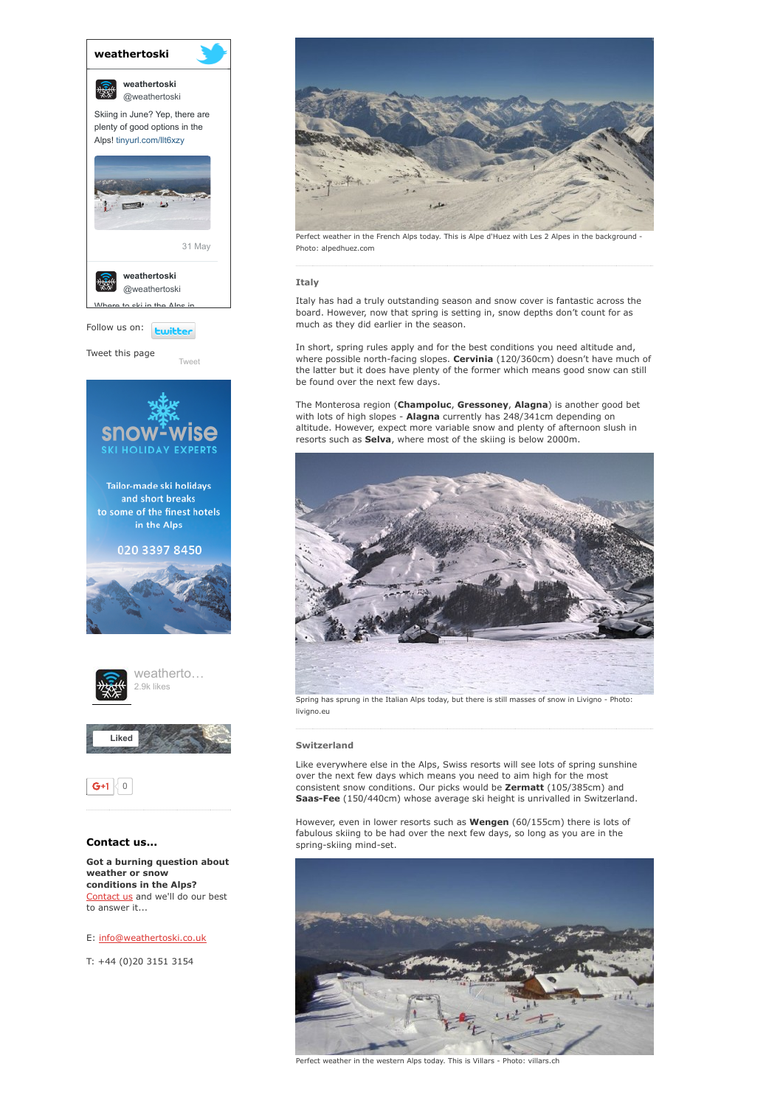

# E: [info@weathertoski.co.uk](mailto:fraser@weathertoski.co.uk)

T: +44 (0)20 3151 3154



Perfect weather in the French Alps today. This is Alpe d'Huez with Les 2 Alpes in the background Photo: alpedhuez.com

### Italy

Italy has had a truly outstanding season and snow cover is fantastic across the board. However, now that spring is setting in, snow depths don't count for as much as they did earlier in the season.

In short, spring rules apply and for the best conditions you need altitude and, where possible north-facing slopes. Cervinia (120/360cm) doesn't have much of the latter but it does have plenty of the former which means good snow can still be found over the next few days.

The Monterosa region (Champoluc, Gressoney, Alagna) is another good bet with lots of high slopes - Alagna currently has 248/341cm depending on altitude. However, expect more variable snow and plenty of afternoon slush in resorts such as **Selva**, where most of the skiing is below 2000m.



Spring has sprung in the Italian Alps today, but there is still masses of snow in Livigno - Photo: livigno.eu

# Switzerland

Like everywhere else in the Alps, Swiss resorts will see lots of spring sunshine over the next few days which means you need to aim high for the most consistent snow conditions. Our picks would be Zermatt (105/385cm) and Saas-Fee (150/440cm) whose average ski height is unrivalled in Switzerland.

However, even in lower resorts such as **Wengen** (60/155cm) there is lots of fabulous skiing to be had over the next few days, so long as you are in the spring-skiing mind-set.



Perfect weather in the western Alps today. This is Villars - Photo: villars.ch